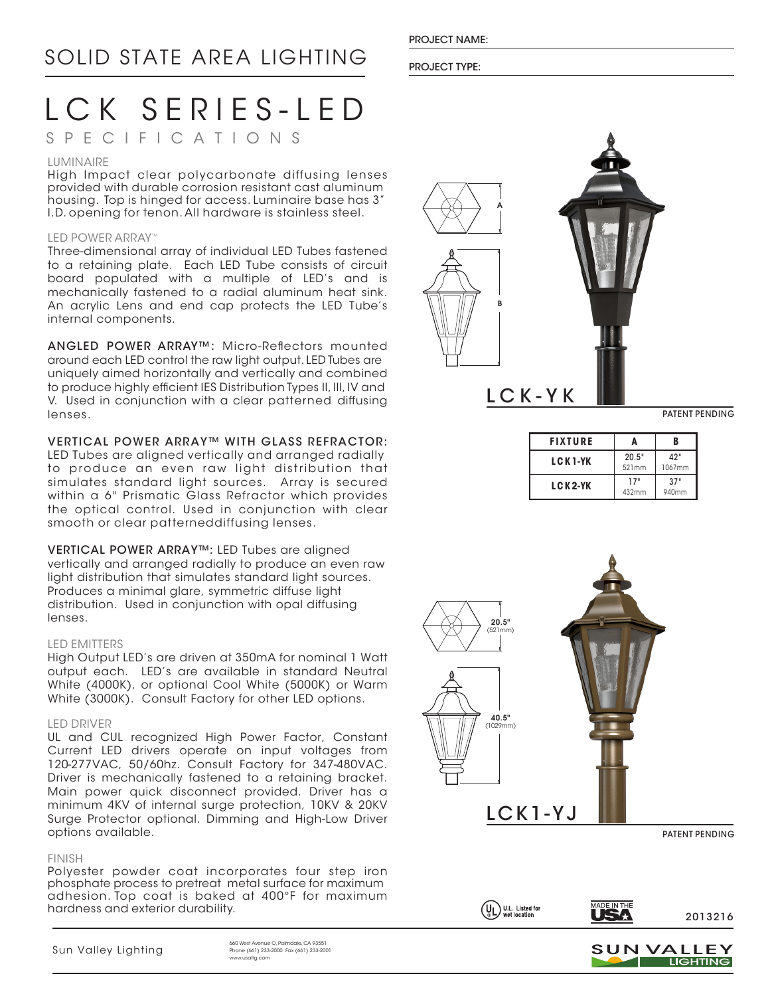LCK SERIES-LED

# SPECIFICATIONS

#### LUMINAIRE

High Impact clear polycarbonate diffusing lenses provided with durable corrosion resistant cast aluminum housing. Top is hinged for access. Luminaire base has 3" I.D. opening for tenon. All hardware is stainless steel.

### LED POWER ARRAY™

Three-dimensional array of individual LED Tubes fastened to a retaining plate. Each LED Tube consists of circuit board populated with a multiple of LED's and is mechanically fastened to a radial aluminum heat sink. An acrylic Lens and end cap protects the LED Tube's internal components.

ANGLED POWER ARRAY™: Micro-Reflectors mounted around each LED control the raw light output. LED Tubes are uniquely aimed horizontally and vertically and combined to produce highly efficient IES Distribution Types II, III, IV and V. Used in conjunction with a clear patterned diffusing lenses.

VERTICAL POWER ARRAY™ WITH GLASS REFRACTOR: LED Tubes are aligned vertically and arranged radially to produce an even raw light distribution that simulates standard light sources. Array is secured within a 6" Prismatic Glass Refractor which provides the optical control. Used in conjunction with clear smooth or clear patterneddiffusing lenses.

VERTICAL POWER ARRAY™: LED Tubes are aligned vertically and arranged radially to produce an even raw light distribution that simulates standard light sources. Produces a minimal glare, symmetric diffuse light distribution. Used in conjunction with opal diffusing lenses.

# LED EMITTERS

High Output LED's are driven at 350mA for nominal 1 Watt output each. LED's are available in standard Neutral White (4000K), or optional Cool White (5000K) or Warm White (3000K). Consult Factory for other LED options.

# LED DRIVER

UL and CUL recognized High Power Factor, Constant Current LED drivers operate on input voltages from 120-277VAC, 50/60hz. Consult Factory for 347-480VAC. Driver is mechanically fastened to a retaining bracket. Main power quick disconnect provided. Driver has a minimum 4KV of internal surge protection, 10KV & 20KV Surge Protector optional. Dimming and High-Low Driver options available.

#### FINISH

Polyester powder coat incorporates four step iron phosphate process to pretreat metal surface for maximum adhesion. Top coat is baked at 400°F for maximum hardness and exterior durability.

#### PROJECT TYPE:



PATENT PENDING

| <b>FIXTURE</b> |                | B             |
|----------------|----------------|---------------|
| <b>LCK1-YK</b> | 20.5"<br>521mm | 42"<br>1067mm |
| LCK2-YK        | 17"<br>432mm   | 37"<br>940mm  |





LCK1-YJ

PATENT PENDING









 $\n \ \, \text{Sum } \text{Value} \leftarrow \text{Value} \left( \text{Value} \right) \text{Value} \left( \text{Value} \right) \text{Value} \left( \text{Value} \right) \text{Value} \right) \text{Value} \left( \text{Value} \right) \text{Value} \left( \text{Value} \right) \text{Value} \left( \text{Value} \right) \text{Value} \left( \text{Value} \right) \text{Value} \left( \text{Value} \right) \text{Value} \left( \text{Value} \right) \text{Value} \left( \text{Value} \right) \text{Value} \right) \text{Value} \left( \text{Value} \right) \text{Value} \left( \text$ Phone (661) 233-2000 Fax (661) 233-2001 www.usaltg.com